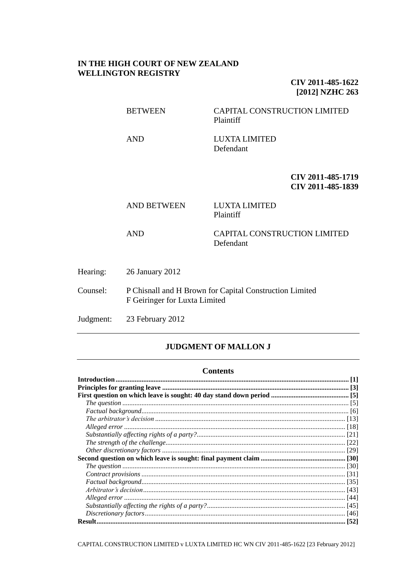## **IN THE HIGH COURT OF NEW ZEALAND WELLINGTON REGISTRY**

**CIV 2011-485-1622 [2012] NZHC 263**

BETWEEN CAPITAL CONSTRUCTION LIMITED Plaintiff AND LUXTA LIMITED

Plaintiff

Defendant

**CIV 2011-485-1719 CIV 2011-485-1839**

AND BETWEEN LUXTA LIMITED

AND CAPITAL CONSTRUCTION LIMITED Defendant

Hearing: 26 January 2012

Counsel: P Chisnall and H Brown for Capital Construction Limited F Geiringer for Luxta Limited

Judgment: 23 February 2012

# **JUDGMENT OF MALLON J**

#### **Contents**

CAPITAL CONSTRUCTION LIMITED v LUXTA LIMITED HC WN CIV 2011-485-1622 [23 February 2012]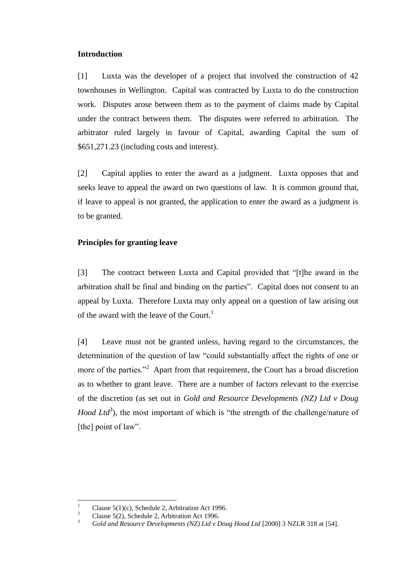### <span id="page-1-0"></span>**Introduction**

[1] Luxta was the developer of a project that involved the construction of 42 townhouses in Wellington. Capital was contracted by Luxta to do the construction work. Disputes arose between them as to the payment of claims made by Capital under the contract between them. The disputes were referred to arbitration. The arbitrator ruled largely in favour of Capital, awarding Capital the sum of \$651,271.23 (including costs and interest).

[2] Capital applies to enter the award as a judgment. Luxta opposes that and seeks leave to appeal the award on two questions of law. It is common ground that, if leave to appeal is not granted, the application to enter the award as a judgment is to be granted.

### <span id="page-1-1"></span>**Principles for granting leave**

[3] The contract between Luxta and Capital provided that "[t]he award in the arbitration shall be final and binding on the parties". Capital does not consent to an appeal by Luxta. Therefore Luxta may only appeal on a question of law arising out of the award with the leave of the Court.<sup>1</sup>

[4] Leave must not be granted unless, having regard to the circumstances, the determination of the question of law "could substantially affect the rights of one or more of the parties."<sup>2</sup> Apart from that requirement, the Court has a broad discretion as to whether to grant leave. There are a number of factors relevant to the exercise of the discretion (as set out in *Gold and Resource Developments (NZ) Ltd v Doug Hood Ltd*<sup>3</sup>), the most important of which is "the strength of the challenge/nature of [the] point of law".

 $\,1\,$ <sup>1</sup> Clause 5(1)(c), Schedule 2, Arbitration Act 1996.

<sup>&</sup>lt;sup>2</sup> Clause 5(2), Schedule 2, Arbitration Act 1996.

<sup>3</sup> *Gold and Resource Developments (NZ) Ltd v Doug Hood Ltd* [2000] 3 NZLR 318 at [54].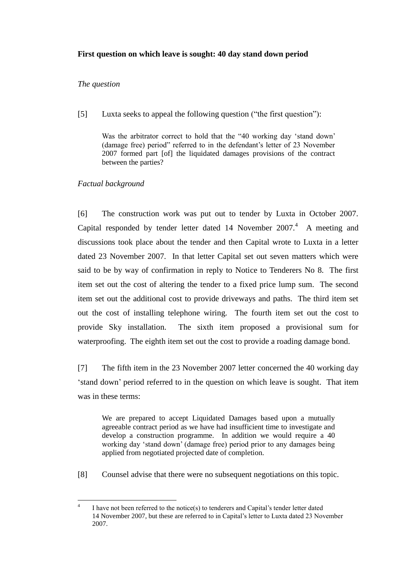# <span id="page-2-0"></span>**First question on which leave is sought: 40 day stand down period**

## <span id="page-2-1"></span>*The question*

[5] Luxta seeks to appeal the following question ("the first question"):

Was the arbitrator correct to hold that the "40 working day 'stand down' (damage free) period" referred to in the defendant"s letter of 23 November 2007 formed part [of] the liquidated damages provisions of the contract between the parties?

# <span id="page-2-2"></span>*Factual background*

[6] The construction work was put out to tender by Luxta in October 2007. Capital responded by tender letter dated  $14$  November  $2007<sup>4</sup>$ . A meeting and discussions took place about the tender and then Capital wrote to Luxta in a letter dated 23 November 2007. In that letter Capital set out seven matters which were said to be by way of confirmation in reply to Notice to Tenderers No 8. The first item set out the cost of altering the tender to a fixed price lump sum. The second item set out the additional cost to provide driveways and paths. The third item set out the cost of installing telephone wiring. The fourth item set out the cost to provide Sky installation. The sixth item proposed a provisional sum for waterproofing. The eighth item set out the cost to provide a roading damage bond.

[7] The fifth item in the 23 November 2007 letter concerned the 40 working day "stand down" period referred to in the question on which leave is sought. That item was in these terms:

We are prepared to accept Liquidated Damages based upon a mutually agreeable contract period as we have had insufficient time to investigate and develop a construction programme. In addition we would require a 40 working day "stand down" (damage free) period prior to any damages being applied from negotiated projected date of completion.

[8] Counsel advise that there were no subsequent negotiations on this topic.

 $\frac{1}{4}$ I have not been referred to the notice(s) to tenderers and Capital"s tender letter dated 14 November 2007, but these are referred to in Capital"s letter to Luxta dated 23 November 2007.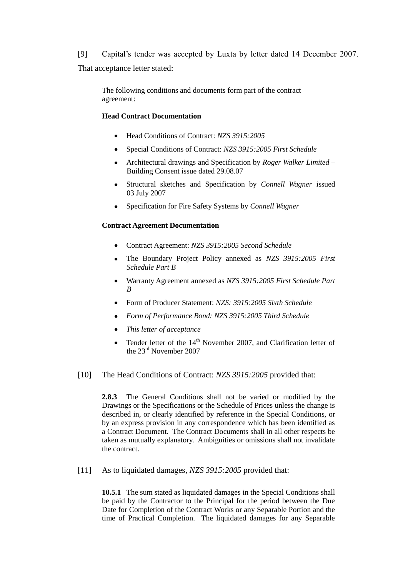[9] Capital"s tender was accepted by Luxta by letter dated 14 December 2007. That acceptance letter stated:

The following conditions and documents form part of the contract agreement:

### **Head Contract Documentation**

- Head Conditions of Contract: *NZS 3915:2005*
- Special Conditions of Contract: *NZS 3915:2005 First Schedule*
- Architectural drawings and Specification by *Roger Walker Limited* Building Consent issue dated 29.08.07
- Structural sketches and Specification by *Connell Wagner* issued 03 July 2007
- Specification for Fire Safety Systems by *Connell Wagner*

### **Contract Agreement Documentation**

- Contract Agreement: *NZS 3915:2005 Second Schedule*
- The Boundary Project Policy annexed as *NZS 3915:2005 First Schedule Part B*
- Warranty Agreement annexed as *NZS 3915:2005 First Schedule Part B*
- Form of Producer Statement: *NZS: 3915:2005 Sixth Schedule*
- *Form of Performance Bond: NZS 3915:2005 Third Schedule*
- *This letter of acceptance*
- Tender letter of the  $14<sup>th</sup>$  November 2007, and Clarification letter of  $\bullet$ the 23rd November 2007
- [10] The Head Conditions of Contract: *NZS 3915:2005* provided that:

**2.8.3** The General Conditions shall not be varied or modified by the Drawings or the Specifications or the Schedule of Prices unless the change is described in, or clearly identified by reference in the Special Conditions, or by an express provision in any correspondence which has been identified as a Contract Document. The Contract Documents shall in all other respects be taken as mutually explanatory. Ambiguities or omissions shall not invalidate the contract.

[11] As to liquidated damages, *NZS 3915:2005* provided that:

**10.5.1** The sum stated as liquidated damages in the Special Conditions shall be paid by the Contractor to the Principal for the period between the Due Date for Completion of the Contract Works or any Separable Portion and the time of Practical Completion. The liquidated damages for any Separable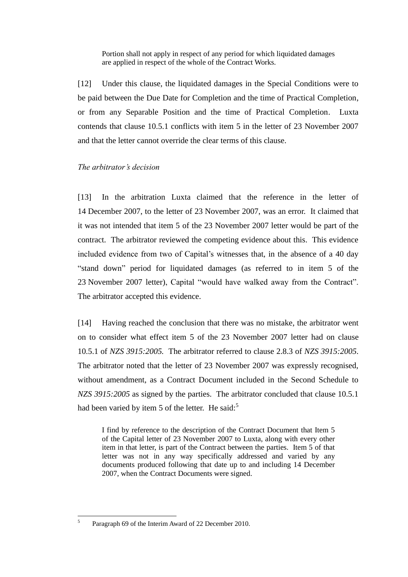Portion shall not apply in respect of any period for which liquidated damages are applied in respect of the whole of the Contract Works.

[12] Under this clause, the liquidated damages in the Special Conditions were to be paid between the Due Date for Completion and the time of Practical Completion, or from any Separable Position and the time of Practical Completion. Luxta contends that clause 10.5.1 conflicts with item 5 in the letter of 23 November 2007 and that the letter cannot override the clear terms of this clause.

### <span id="page-4-0"></span>*The arbitrator's decision*

[13] In the arbitration Luxta claimed that the reference in the letter of 14 December 2007, to the letter of 23 November 2007, was an error. It claimed that it was not intended that item 5 of the 23 November 2007 letter would be part of the contract. The arbitrator reviewed the competing evidence about this. This evidence included evidence from two of Capital's witnesses that, in the absence of a 40 day "stand down" period for liquidated damages (as referred to in item 5 of the 23 November 2007 letter), Capital "would have walked away from the Contract". The arbitrator accepted this evidence.

[14] Having reached the conclusion that there was no mistake, the arbitrator went on to consider what effect item 5 of the 23 November 2007 letter had on clause 10.5.1 of *NZS 3915:2005.* The arbitrator referred to clause 2.8.3 of *NZS 3915:2005*. The arbitrator noted that the letter of 23 November 2007 was expressly recognised, without amendment, as a Contract Document included in the Second Schedule to *NZS 3915:2005* as signed by the parties. The arbitrator concluded that clause 10.5.1 had been varied by item 5 of the letter. He said: $5<sup>5</sup>$ 

I find by reference to the description of the Contract Document that Item 5 of the Capital letter of 23 November 2007 to Luxta, along with every other item in that letter, is part of the Contract between the parties. Item 5 of that letter was not in any way specifically addressed and varied by any documents produced following that date up to and including 14 December 2007, when the Contract Documents were signed.

 $\frac{1}{5}$ 

Paragraph 69 of the Interim Award of 22 December 2010.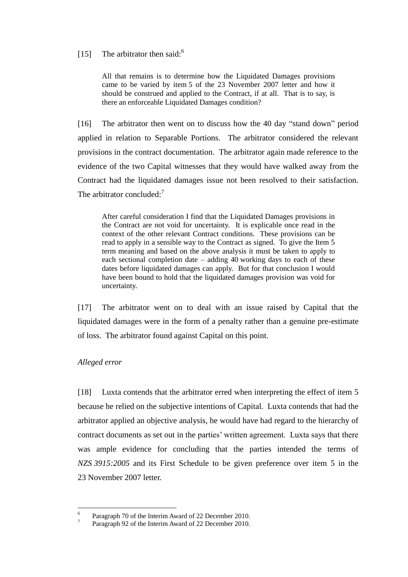# [15] The arbitrator then said: $6$

All that remains is to determine how the Liquidated Damages provisions came to be varied by item 5 of the 23 November 2007 letter and how it should be construed and applied to the Contract, if at all. That is to say, is there an enforceable Liquidated Damages condition?

[16] The arbitrator then went on to discuss how the 40 day "stand down" period applied in relation to Separable Portions. The arbitrator considered the relevant provisions in the contract documentation. The arbitrator again made reference to the evidence of the two Capital witnesses that they would have walked away from the Contract had the liquidated damages issue not been resolved to their satisfaction. The arbitrator concluded: $<sup>7</sup>$ </sup>

After careful consideration I find that the Liquidated Damages provisions in the Contract are not void for uncertainty. It is explicable once read in the context of the other relevant Contract conditions. These provisions can be read to apply in a sensible way to the Contract as signed. To give the Item 5 term meaning and based on the above analysis it must be taken to apply to each sectional completion date – adding 40 working days to each of these dates before liquidated damages can apply. But for that conclusion I would have been bound to hold that the liquidated damages provision was void for uncertainty.

[17] The arbitrator went on to deal with an issue raised by Capital that the liquidated damages were in the form of a penalty rather than a genuine pre-estimate of loss. The arbitrator found against Capital on this point.

### <span id="page-5-0"></span>*Alleged error*

[18] Luxta contends that the arbitrator erred when interpreting the effect of item 5 because he relied on the subjective intentions of Capital. Luxta contends that had the arbitrator applied an objective analysis, he would have had regard to the hierarchy of contract documents as set out in the parties' written agreement. Luxta says that there was ample evidence for concluding that the parties intended the terms of *NZS 3915:2005* and its First Schedule to be given preference over item 5 in the 23 November 2007 letter.

 $\frac{1}{6}$ Paragraph 70 of the Interim Award of 22 December 2010. 7

Paragraph 92 of the Interim Award of 22 December 2010.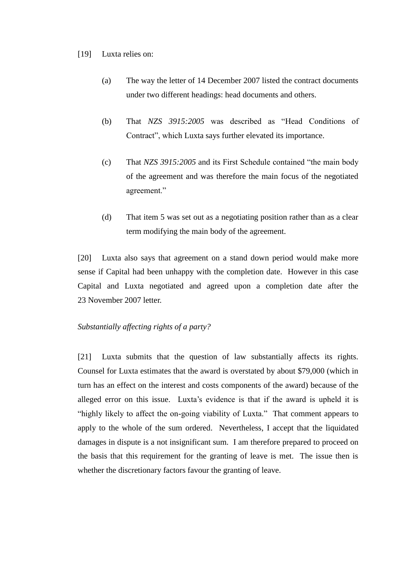### [19] Luxta relies on:

- (a) The way the letter of 14 December 2007 listed the contract documents under two different headings: head documents and others.
- (b) That *NZS 3915:2005* was described as "Head Conditions of Contract", which Luxta says further elevated its importance.
- (c) That *NZS 3915:2005* and its First Schedule contained "the main body of the agreement and was therefore the main focus of the negotiated agreement."
- (d) That item 5 was set out as a negotiating position rather than as a clear term modifying the main body of the agreement.

[20] Luxta also says that agreement on a stand down period would make more sense if Capital had been unhappy with the completion date. However in this case Capital and Luxta negotiated and agreed upon a completion date after the 23 November 2007 letter.

### <span id="page-6-0"></span>*Substantially affecting rights of a party?*

[21] Luxta submits that the question of law substantially affects its rights. Counsel for Luxta estimates that the award is overstated by about \$79,000 (which in turn has an effect on the interest and costs components of the award) because of the alleged error on this issue. Luxta"s evidence is that if the award is upheld it is "highly likely to affect the on-going viability of Luxta." That comment appears to apply to the whole of the sum ordered. Nevertheless, I accept that the liquidated damages in dispute is a not insignificant sum. I am therefore prepared to proceed on the basis that this requirement for the granting of leave is met. The issue then is whether the discretionary factors favour the granting of leave.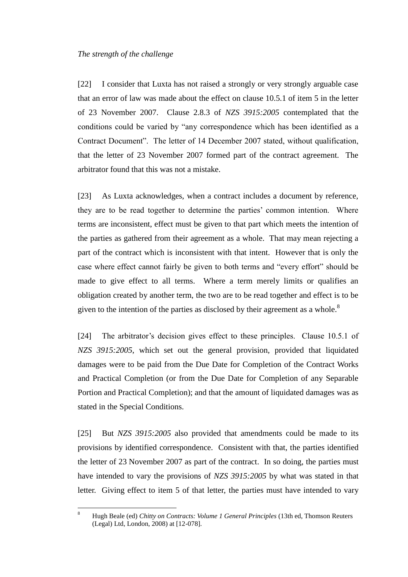#### <span id="page-7-0"></span>*The strength of the challenge*

[22] I consider that Luxta has not raised a strongly or very strongly arguable case that an error of law was made about the effect on clause 10.5.1 of item 5 in the letter of 23 November 2007. Clause 2.8.3 of *NZS 3915:2005* contemplated that the conditions could be varied by "any correspondence which has been identified as a Contract Document". The letter of 14 December 2007 stated, without qualification, that the letter of 23 November 2007 formed part of the contract agreement. The arbitrator found that this was not a mistake.

[23] As Luxta acknowledges, when a contract includes a document by reference, they are to be read together to determine the parties" common intention. Where terms are inconsistent, effect must be given to that part which meets the intention of the parties as gathered from their agreement as a whole. That may mean rejecting a part of the contract which is inconsistent with that intent. However that is only the case where effect cannot fairly be given to both terms and "every effort" should be made to give effect to all terms. Where a term merely limits or qualifies an obligation created by another term, the two are to be read together and effect is to be given to the intention of the parties as disclosed by their agreement as a whole.<sup>8</sup>

[24] The arbitrator's decision gives effect to these principles. Clause 10.5.1 of *NZS 3915:2005*, which set out the general provision, provided that liquidated damages were to be paid from the Due Date for Completion of the Contract Works and Practical Completion (or from the Due Date for Completion of any Separable Portion and Practical Completion); and that the amount of liquidated damages was as stated in the Special Conditions.

[25] But *NZS 3915:2005* also provided that amendments could be made to its provisions by identified correspondence. Consistent with that, the parties identified the letter of 23 November 2007 as part of the contract. In so doing, the parties must have intended to vary the provisions of *NZS 3915:2005* by what was stated in that letter. Giving effect to item 5 of that letter, the parties must have intended to vary

<sup>8</sup> <sup>8</sup> Hugh Beale (ed) *Chitty on Contracts: Volume 1 General Principles* (13th ed, Thomson Reuters (Legal) Ltd, London, 2008) at [12-078].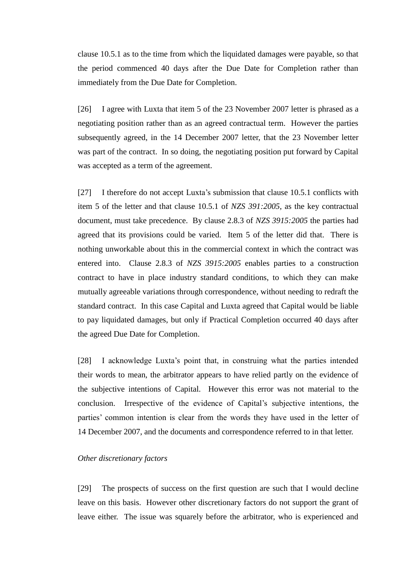clause 10.5.1 as to the time from which the liquidated damages were payable, so that the period commenced 40 days after the Due Date for Completion rather than immediately from the Due Date for Completion.

[26] I agree with Luxta that item 5 of the 23 November 2007 letter is phrased as a negotiating position rather than as an agreed contractual term. However the parties subsequently agreed, in the 14 December 2007 letter, that the 23 November letter was part of the contract. In so doing, the negotiating position put forward by Capital was accepted as a term of the agreement.

[27] I therefore do not accept Luxta"s submission that clause 10.5.1 conflicts with item 5 of the letter and that clause 10.5.1 of *NZS 391:2005*, as the key contractual document, must take precedence. By clause 2.8.3 of *NZS 3915:2005* the parties had agreed that its provisions could be varied. Item 5 of the letter did that. There is nothing unworkable about this in the commercial context in which the contract was entered into. Clause 2.8.3 of *NZS 3915:2005* enables parties to a construction contract to have in place industry standard conditions, to which they can make mutually agreeable variations through correspondence, without needing to redraft the standard contract. In this case Capital and Luxta agreed that Capital would be liable to pay liquidated damages, but only if Practical Completion occurred 40 days after the agreed Due Date for Completion.

[28] I acknowledge Luxta's point that, in construing what the parties intended their words to mean, the arbitrator appears to have relied partly on the evidence of the subjective intentions of Capital. However this error was not material to the conclusion. Irrespective of the evidence of Capital"s subjective intentions, the parties' common intention is clear from the words they have used in the letter of 14 December 2007, and the documents and correspondence referred to in that letter.

### <span id="page-8-0"></span>*Other discretionary factors*

[29] The prospects of success on the first question are such that I would decline leave on this basis. However other discretionary factors do not support the grant of leave either. The issue was squarely before the arbitrator, who is experienced and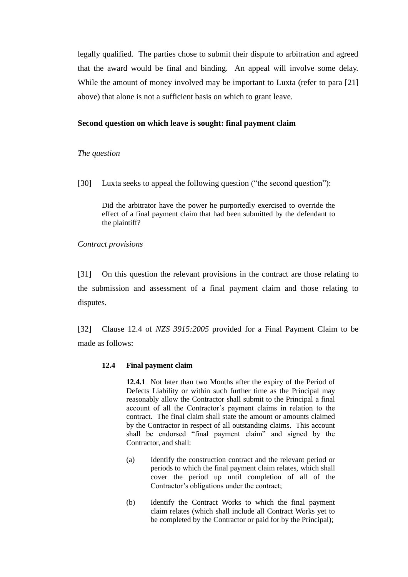legally qualified. The parties chose to submit their dispute to arbitration and agreed that the award would be final and binding. An appeal will involve some delay. While the amount of money involved may be important to Luxta (refer to para [21] above) that alone is not a sufficient basis on which to grant leave.

### <span id="page-9-0"></span>**Second question on which leave is sought: final payment claim**

### <span id="page-9-1"></span>*The question*

[30] Luxta seeks to appeal the following question ("the second question"):

Did the arbitrator have the power he purportedly exercised to override the effect of a final payment claim that had been submitted by the defendant to the plaintiff?

<span id="page-9-2"></span>*Contract provisions*

[31] On this question the relevant provisions in the contract are those relating to the submission and assessment of a final payment claim and those relating to disputes.

[32] Clause 12.4 of *NZS 3915:2005* provided for a Final Payment Claim to be made as follows:

### **12.4 Final payment claim**

**12.4.1** Not later than two Months after the expiry of the Period of Defects Liability or within such further time as the Principal may reasonably allow the Contractor shall submit to the Principal a final account of all the Contractor's payment claims in relation to the contract. The final claim shall state the amount or amounts claimed by the Contractor in respect of all outstanding claims. This account shall be endorsed "final payment claim" and signed by the Contractor, and shall:

- (a) Identify the construction contract and the relevant period or periods to which the final payment claim relates, which shall cover the period up until completion of all of the Contractor's obligations under the contract;
- (b) Identify the Contract Works to which the final payment claim relates (which shall include all Contract Works yet to be completed by the Contractor or paid for by the Principal);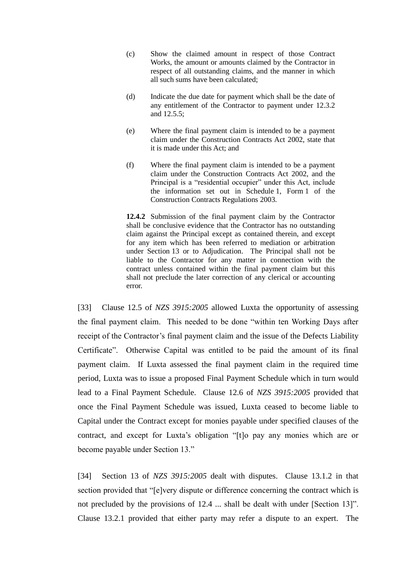- (c) Show the claimed amount in respect of those Contract Works, the amount or amounts claimed by the Contractor in respect of all outstanding claims, and the manner in which all such sums have been calculated;
- (d) Indicate the due date for payment which shall be the date of any entitlement of the Contractor to payment under 12.3.2 and 12.5.5;
- (e) Where the final payment claim is intended to be a payment claim under the Construction Contracts Act 2002, state that it is made under this Act; and
- (f) Where the final payment claim is intended to be a payment claim under the Construction Contracts Act 2002, and the Principal is a "residential occupier" under this Act, include the information set out in Schedule 1, Form 1 of the Construction Contracts Regulations 2003.

**12.4.2** Submission of the final payment claim by the Contractor shall be conclusive evidence that the Contractor has no outstanding claim against the Principal except as contained therein, and except for any item which has been referred to mediation or arbitration under Section 13 or to Adjudication. The Principal shall not be liable to the Contractor for any matter in connection with the contract unless contained within the final payment claim but this shall not preclude the later correction of any clerical or accounting error.

[33] Clause 12.5 of *NZS 3915:2005* allowed Luxta the opportunity of assessing the final payment claim. This needed to be done "within ten Working Days after receipt of the Contractor's final payment claim and the issue of the Defects Liability Certificate". Otherwise Capital was entitled to be paid the amount of its final payment claim. If Luxta assessed the final payment claim in the required time period, Luxta was to issue a proposed Final Payment Schedule which in turn would lead to a Final Payment Schedule. Clause 12.6 of *NZS 3915:2005* provided that once the Final Payment Schedule was issued, Luxta ceased to become liable to Capital under the Contract except for monies payable under specified clauses of the contract, and except for Luxta's obligation "[t]o pay any monies which are or become payable under Section 13."

[34] Section 13 of *NZS 3915:2005* dealt with disputes. Clause 13.1.2 in that section provided that "[e]very dispute or difference concerning the contract which is not precluded by the provisions of 12.4 ... shall be dealt with under [Section 13]". Clause 13.2.1 provided that either party may refer a dispute to an expert. The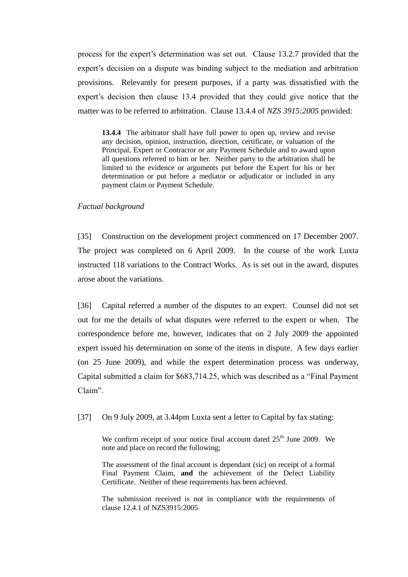process for the expert"s determination was set out. Clause 13.2.7 provided that the expert's decision on a dispute was binding subject to the mediation and arbitration provisions. Relevantly for present purposes, if a party was dissatisfied with the expert's decision then clause 13.4 provided that they could give notice that the matter was to be referred to arbitration. Clause 13.4.4 of *NZS 3915:2005* provided:

**13.4.4** The arbitrator shall have full power to open up, review and revise any decision, opinion, instruction, direction, certificate, or valuation of the Principal, Expert or Contractor or any Payment Schedule and to award upon all questions referred to him or her. Neither party to the arbitration shall be limited to the evidence or arguments put before the Expert for his or her determination or put before a mediator or adjudicator or included in any payment claim or Payment Schedule.

### <span id="page-11-0"></span>*Factual background*

[35] Construction on the development project commenced on 17 December 2007. The project was completed on 6 April 2009. In the course of the work Luxta instructed 118 variations to the Contract Works. As is set out in the award, disputes arose about the variations.

[36] Capital referred a number of the disputes to an expert. Counsel did not set out for me the details of what disputes were referred to the expert or when. The correspondence before me, however, indicates that on 2 July 2009 the appointed expert issued his determination on some of the items in dispute. A few days earlier (on 25 June 2009), and while the expert determination process was underway, Capital submitted a claim for \$683,714.25, which was described as a "Final Payment Claim".

[37] On 9 July 2009, at 3.44pm Luxta sent a letter to Capital by fax stating:

We confirm receipt of your notice final account dated  $25<sup>th</sup>$  June 2009. We note and place on record the following;

The assessment of the final account is dependant (sic) on receipt of a formal Final Payment Claim, **and** the achievement of the Defect Liability Certificate. Neither of these requirements has been achieved.

The submission received is not in compliance with the requirements of clause 12.4.1 of NZS3915:2005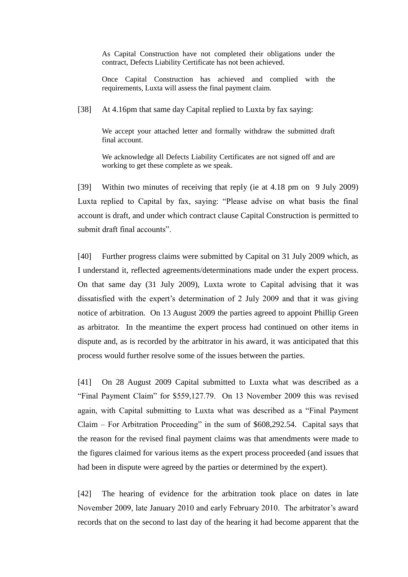As Capital Construction have not completed their obligations under the contract, Defects Liability Certificate has not been achieved.

Once Capital Construction has achieved and complied with the requirements, Luxta will assess the final payment claim.

[38] At 4.16pm that same day Capital replied to Luxta by fax saying:

We accept your attached letter and formally withdraw the submitted draft final account.

We acknowledge all Defects Liability Certificates are not signed off and are working to get these complete as we speak.

[39] Within two minutes of receiving that reply (ie at 4.18 pm on 9 July 2009) Luxta replied to Capital by fax, saying: "Please advise on what basis the final account is draft, and under which contract clause Capital Construction is permitted to submit draft final accounts".

[40] Further progress claims were submitted by Capital on 31 July 2009 which, as I understand it, reflected agreements/determinations made under the expert process. On that same day (31 July 2009), Luxta wrote to Capital advising that it was dissatisfied with the expert's determination of 2 July 2009 and that it was giving notice of arbitration*.* On 13 August 2009 the parties agreed to appoint Phillip Green as arbitrator. In the meantime the expert process had continued on other items in dispute and, as is recorded by the arbitrator in his award, it was anticipated that this process would further resolve some of the issues between the parties.

[41] On 28 August 2009 Capital submitted to Luxta what was described as a "Final Payment Claim" for \$559,127.79. On 13 November 2009 this was revised again, with Capital submitting to Luxta what was described as a "Final Payment Claim – For Arbitration Proceeding" in the sum of \$608,292.54. Capital says that the reason for the revised final payment claims was that amendments were made to the figures claimed for various items as the expert process proceeded (and issues that had been in dispute were agreed by the parties or determined by the expert).

[42] The hearing of evidence for the arbitration took place on dates in late November 2009, late January 2010 and early February 2010. The arbitrator"s award records that on the second to last day of the hearing it had become apparent that the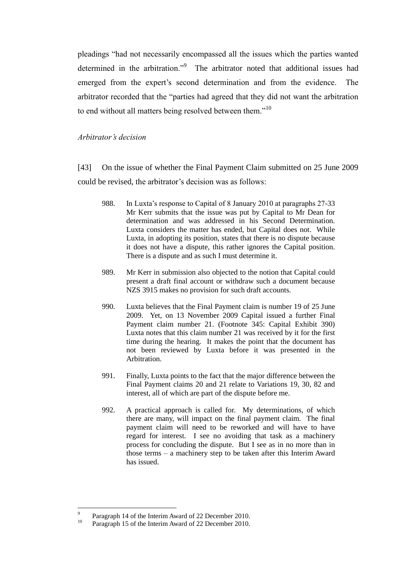pleadings "had not necessarily encompassed all the issues which the parties wanted determined in the arbitration."<sup>9</sup> The arbitrator noted that additional issues had emerged from the expert's second determination and from the evidence. The arbitrator recorded that the "parties had agreed that they did not want the arbitration to end without all matters being resolved between them."<sup>10</sup>

#### <span id="page-13-0"></span>*Arbitrator's decision*

[43] On the issue of whether the Final Payment Claim submitted on 25 June 2009 could be revised, the arbitrator"s decision was as follows:

- 988. In Luxta"s response to Capital of 8 January 2010 at paragraphs 27-33 Mr Kerr submits that the issue was put by Capital to Mr Dean for determination and was addressed in his Second Determination. Luxta considers the matter has ended, but Capital does not. While Luxta, in adopting its position, states that there is no dispute because it does not have a dispute, this rather ignores the Capital position. There is a dispute and as such I must determine it.
- 989. Mr Kerr in submission also objected to the notion that Capital could present a draft final account or withdraw such a document because NZS 3915 makes no provision for such draft accounts.
- 990. Luxta believes that the Final Payment claim is number 19 of 25 June 2009. Yet, on 13 November 2009 Capital issued a further Final Payment claim number 21. (Footnote 345: Capital Exhibit 390) Luxta notes that this claim number 21 was received by it for the first time during the hearing. It makes the point that the document has not been reviewed by Luxta before it was presented in the Arbitration.
- 991. Finally, Luxta points to the fact that the major difference between the Final Payment claims 20 and 21 relate to Variations 19, 30, 82 and interest, all of which are part of the dispute before me.
- 992. A practical approach is called for. My determinations, of which there are many, will impact on the final payment claim. The final payment claim will need to be reworked and will have to have regard for interest. I see no avoiding that task as a machinery process for concluding the dispute. But I see as in no more than in those terms – a machinery step to be taken after this Interim Award has issued.

<sup>-&</sup>lt;br>9 Paragraph 14 of the Interim Award of 22 December 2010.

<sup>&</sup>lt;sup>10</sup> Paragraph 15 of the Interim Award of 22 December 2010.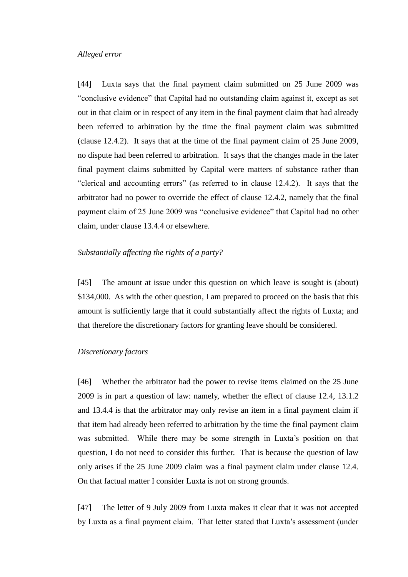#### <span id="page-14-0"></span>*Alleged error*

[44] Luxta says that the final payment claim submitted on 25 June 2009 was "conclusive evidence" that Capital had no outstanding claim against it, except as set out in that claim or in respect of any item in the final payment claim that had already been referred to arbitration by the time the final payment claim was submitted (clause 12.4.2). It says that at the time of the final payment claim of 25 June 2009, no dispute had been referred to arbitration. It says that the changes made in the later final payment claims submitted by Capital were matters of substance rather than "clerical and accounting errors" (as referred to in clause 12.4.2). It says that the arbitrator had no power to override the effect of clause 12.4.2, namely that the final payment claim of 25 June 2009 was "conclusive evidence" that Capital had no other claim, under clause 13.4.4 or elsewhere.

### <span id="page-14-1"></span>*Substantially affecting the rights of a party?*

[45] The amount at issue under this question on which leave is sought is (about) \$134,000. As with the other question, I am prepared to proceed on the basis that this amount is sufficiently large that it could substantially affect the rights of Luxta; and that therefore the discretionary factors for granting leave should be considered.

### <span id="page-14-2"></span>*Discretionary factors*

[46] Whether the arbitrator had the power to revise items claimed on the 25 June 2009 is in part a question of law: namely, whether the effect of clause 12.4, 13.1.2 and 13.4.4 is that the arbitrator may only revise an item in a final payment claim if that item had already been referred to arbitration by the time the final payment claim was submitted. While there may be some strength in Luxta's position on that question, I do not need to consider this further. That is because the question of law only arises if the 25 June 2009 claim was a final payment claim under clause 12.4. On that factual matter I consider Luxta is not on strong grounds.

[47] The letter of 9 July 2009 from Luxta makes it clear that it was not accepted by Luxta as a final payment claim. That letter stated that Luxta"s assessment (under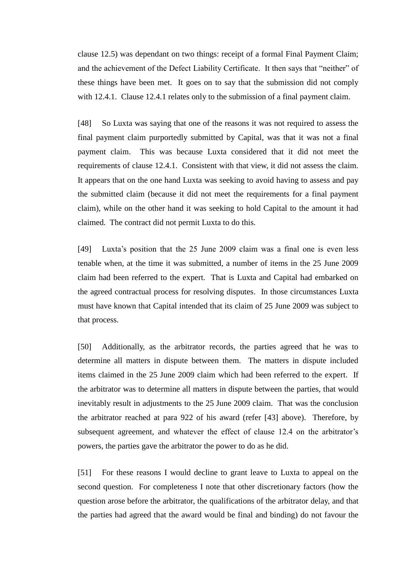clause 12.5) was dependant on two things: receipt of a formal Final Payment Claim; and the achievement of the Defect Liability Certificate. It then says that "neither" of these things have been met. It goes on to say that the submission did not comply with 12.4.1. Clause 12.4.1 relates only to the submission of a final payment claim.

[48] So Luxta was saying that one of the reasons it was not required to assess the final payment claim purportedly submitted by Capital, was that it was not a final payment claim. This was because Luxta considered that it did not meet the requirements of clause 12.4.1. Consistent with that view, it did not assess the claim. It appears that on the one hand Luxta was seeking to avoid having to assess and pay the submitted claim (because it did not meet the requirements for a final payment claim), while on the other hand it was seeking to hold Capital to the amount it had claimed. The contract did not permit Luxta to do this.

[49] Luxta's position that the 25 June 2009 claim was a final one is even less tenable when, at the time it was submitted, a number of items in the 25 June 2009 claim had been referred to the expert. That is Luxta and Capital had embarked on the agreed contractual process for resolving disputes. In those circumstances Luxta must have known that Capital intended that its claim of 25 June 2009 was subject to that process.

[50] Additionally, as the arbitrator records, the parties agreed that he was to determine all matters in dispute between them. The matters in dispute included items claimed in the 25 June 2009 claim which had been referred to the expert. If the arbitrator was to determine all matters in dispute between the parties, that would inevitably result in adjustments to the 25 June 2009 claim. That was the conclusion the arbitrator reached at para 922 of his award (refer [43] above). Therefore, by subsequent agreement, and whatever the effect of clause 12.4 on the arbitrator's powers, the parties gave the arbitrator the power to do as he did.

[51] For these reasons I would decline to grant leave to Luxta to appeal on the second question. For completeness I note that other discretionary factors (how the question arose before the arbitrator, the qualifications of the arbitrator delay, and that the parties had agreed that the award would be final and binding) do not favour the